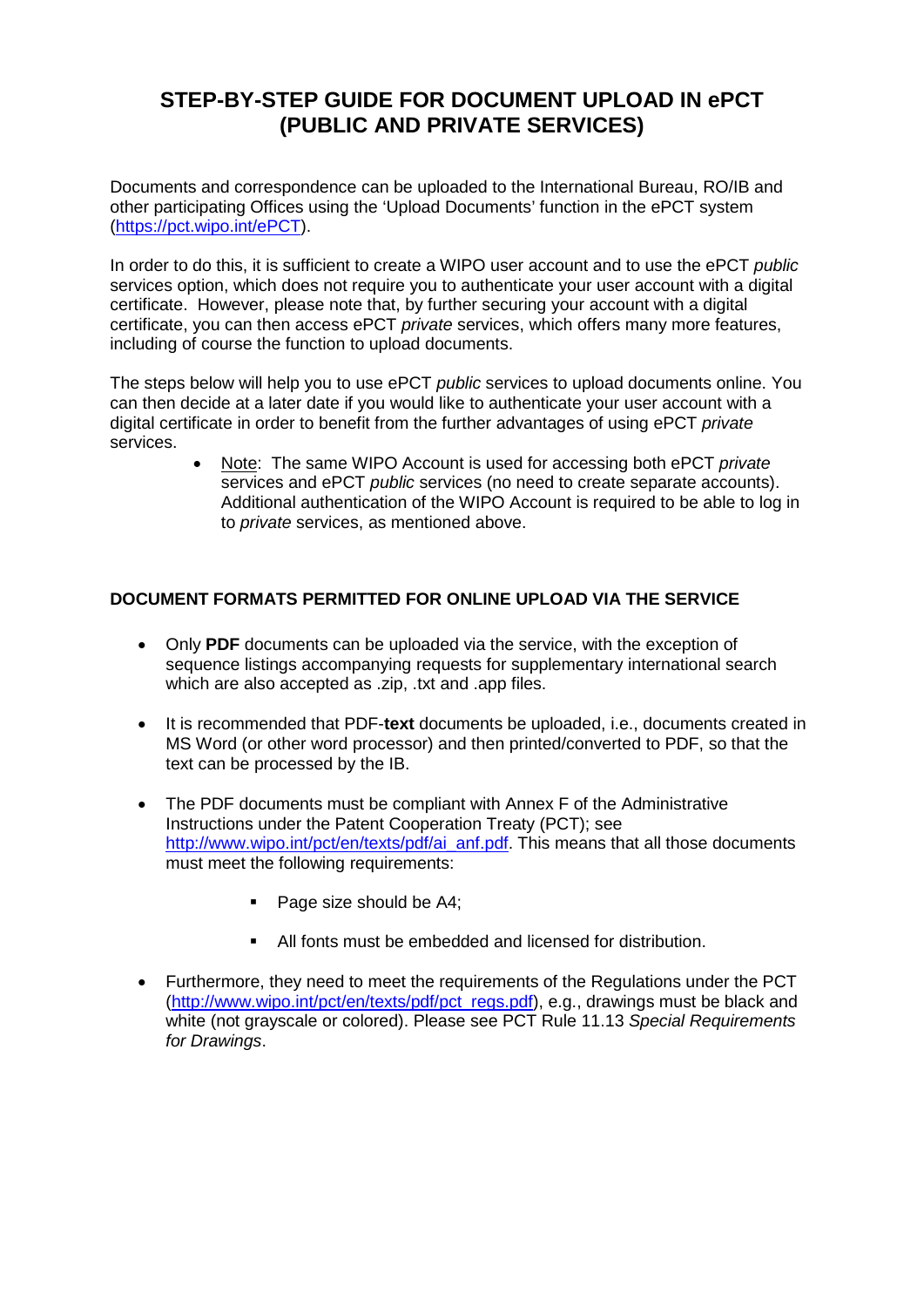## **STEP-BY-STEP GUIDE FOR DOCUMENT UPLOAD IN ePCT (PUBLIC AND PRIVATE SERVICES)**

Documents and correspondence can be uploaded to the International Bureau, RO/IB and other participating Offices using the 'Upload Documents' function in the ePCT system [\(https://pct.wipo.int/ePCT\)](https://pct.wipo.int/ePCT).

In order to do this, it is sufficient to create a WIPO user account and to use the ePCT *public*  services option, which does not require you to authenticate your user account with a digital certificate. However, please note that, by further securing your account with a digital certificate, you can then access ePCT *private* services, which offers many more features, including of course the function to upload documents.

The steps below will help you to use ePCT *public* services to upload documents online. You can then decide at a later date if you would like to authenticate your user account with a digital certificate in order to benefit from the further advantages of using ePCT *private* services.

> • Note: The same WIPO Account is used for accessing both ePCT *private* services and ePCT *public* services (no need to create separate accounts). Additional authentication of the WIPO Account is required to be able to log in to *private* services, as mentioned above.

### **DOCUMENT FORMATS PERMITTED FOR ONLINE UPLOAD VIA THE SERVICE**

- Only **PDF** documents can be uploaded via the service, with the exception of sequence listings accompanying requests for supplementary international search which are also accepted as .zip, .txt and .app files.
- It is recommended that PDF-**text** documents be uploaded, i.e., documents created in MS Word (or other word processor) and then printed/converted to PDF, so that the text can be processed by the IB.
- The PDF documents must be compliant with Annex F of the Administrative Instructions under the Patent Cooperation Treaty (PCT); see [http://www.wipo.int/pct/en/texts/pdf/ai\\_anf.pdf.](http://www.wipo.int/pct/en/texts/pdf/ai_anf.pdf) This means that all those documents must meet the following requirements:
	- Page size should be A4;
	- All fonts must be embedded and licensed for distribution.
- Furthermore, they need to meet the requirements of the Regulations under the PCT [\(http://www.wipo.int/pct/en/texts/pdf/pct\\_regs.pdf\)](http://www.wipo.int/pct/en/texts/pdf/pct_regs.pdf), e.g., drawings must be black and white (not grayscale or colored). Please see PCT Rule 11.13 *Special Requirements for Drawings*.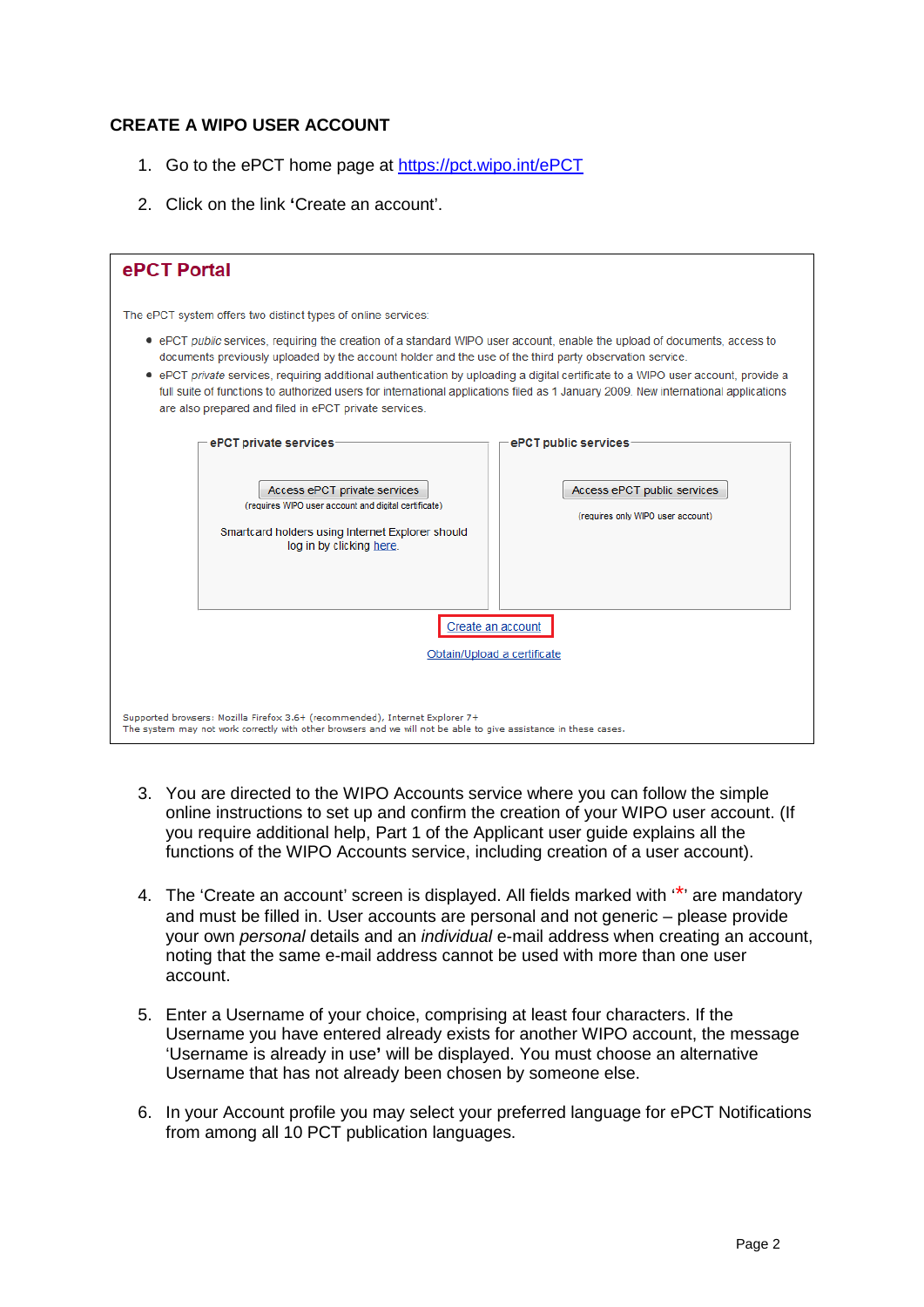#### **CREATE A WIPO USER ACCOUNT**

- 1. Go to the ePCT home page at<https://pct.wipo.int/ePCT>
- 2. Click on the link **'**Create an account'.

| ePCT Portal                                                                                                                                                                                                                                                                                                                                                                                                                                                                                                                                                                                                                               |                                                                                          |
|-------------------------------------------------------------------------------------------------------------------------------------------------------------------------------------------------------------------------------------------------------------------------------------------------------------------------------------------------------------------------------------------------------------------------------------------------------------------------------------------------------------------------------------------------------------------------------------------------------------------------------------------|------------------------------------------------------------------------------------------|
| The ePCT system offers two distinct types of online services:<br>• ePCT public services, requiring the creation of a standard WIPO user account, enable the upload of documents, access to<br>documents previously uploaded by the account holder and the use of the third party observation service.<br>• ePCT private services, requiring additional authentication by uploading a digital certificate to a WIPO user account, provide a<br>full suite of functions to authorized users for international applications filed as 1 January 2009. New international applications<br>are also prepared and filed in ePCT private services. |                                                                                          |
| ePCT private services<br>Access ePCT private services<br>(requires WIPO user account and digital certificate)<br>Smartcard holders using Internet Explorer should<br>log in by clicking here.                                                                                                                                                                                                                                                                                                                                                                                                                                             | ePCT public services<br>Access ePCT public services<br>(requires only WIPO user account) |
| Create an account<br>Obtain/Upload a certificate<br>Supported browsers: Mozilla Firefox 3.6+ (recommended), Internet Explorer 7+<br>The system may not work correctly with other browsers and we will not be able to give assistance in these cases.                                                                                                                                                                                                                                                                                                                                                                                      |                                                                                          |

- 3. You are directed to the WIPO Accounts service where you can follow the simple online instructions to set up and confirm the creation of your WIPO user account. (If you require additional help, Part 1 of the Applicant user guide explains all the functions of the WIPO Accounts service, including creation of a user account).
- 4. The 'Create an account' screen is displayed. All fields marked with  $\cdot^*$  are mandatory and must be filled in. User accounts are personal and not generic – please provide your own *personal* details and an *individual* e-mail address when creating an account, noting that the same e-mail address cannot be used with more than one user account.
- 5. Enter a Username of your choice, comprising at least four characters. If the Username you have entered already exists for another WIPO account, the message 'Username is already in use**'** will be displayed. You must choose an alternative Username that has not already been chosen by someone else.
- 6. In your Account profile you may select your preferred language for ePCT Notifications from among all 10 PCT publication languages.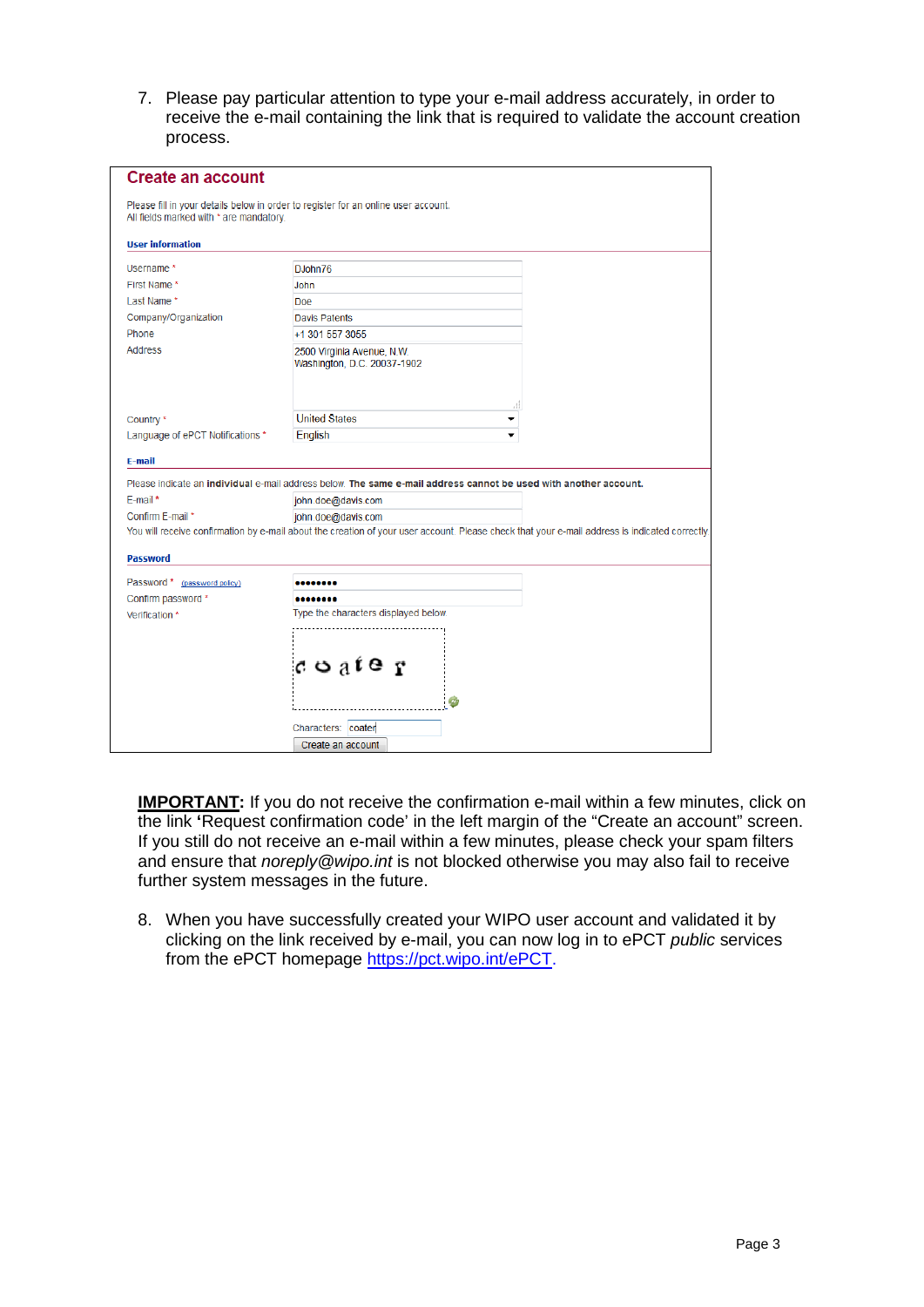7. Please pay particular attention to type your e-mail address accurately, in order to receive the e-mail containing the link that is required to validate the account creation process.

| <b>Create an account</b>                |                                                                                                                                                |
|-----------------------------------------|------------------------------------------------------------------------------------------------------------------------------------------------|
| All fields marked with * are mandatory. | Please fill in your details below in order to register for an online user account.                                                             |
| <b>User information</b>                 |                                                                                                                                                |
| Username <sup>*</sup>                   | DJohn76                                                                                                                                        |
| First Name *                            | John                                                                                                                                           |
| Last Name*                              | Doe                                                                                                                                            |
| Company/Organization                    | <b>Davis Patents</b>                                                                                                                           |
| Phone                                   | +1 301 557 3055                                                                                                                                |
| <b>Address</b>                          | 2500 Virginia Avenue, N.W.<br>Washington, D.C. 20037-1902                                                                                      |
|                                         | 41                                                                                                                                             |
| Country *                               | <b>United States</b>                                                                                                                           |
| Language of ePCT Notifications *        | English<br>▼                                                                                                                                   |
| E-mail                                  |                                                                                                                                                |
|                                         | Please indicate an individual e-mail address below. The same e-mail address cannot be used with another account.                               |
| E-mail*                                 | john.doe@davis.com                                                                                                                             |
| Confirm E-mail *                        | john.doe@davis.com                                                                                                                             |
|                                         | You will receive confirmation by e-mail about the creation of your user account. Please check that your e-mail address is indicated correctly. |
| <b>Password</b>                         |                                                                                                                                                |
| Password * (password policy)            |                                                                                                                                                |
| Confirm password *                      |                                                                                                                                                |
| Verification *                          | Type the characters displayed below.                                                                                                           |
|                                         | $c$ o $a$ $t$ e $r$<br>a,<br>Characters: coater                                                                                                |
|                                         | Create an account                                                                                                                              |

**IMPORTANT:** If you do not receive the confirmation e-mail within a few minutes, click on the link **'**Request confirmation code' in the left margin of the "Create an account" screen. If you still do not receive an e-mail within a few minutes, please check your spam filters and ensure that *noreply@wipo.int* is not blocked otherwise you may also fail to receive further system messages in the future.

8. When you have successfully created your WIPO user account and validated it by clicking on the link received by e-mail, you can now log in to ePCT *public* services from the ePCT homepage [https://pct.wipo.int/ePCT.](https://pct.wipo.int/ePCT)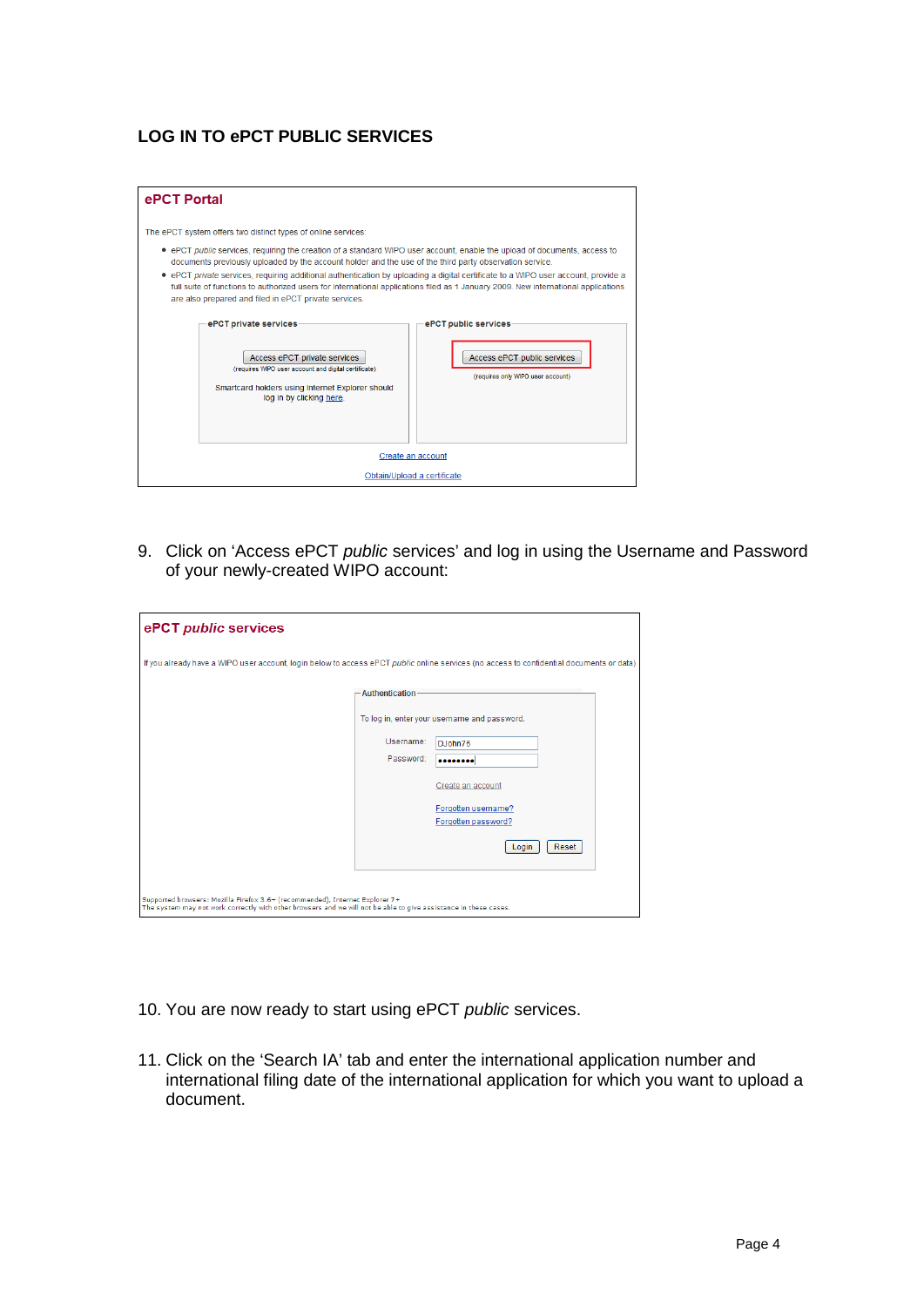#### **LOG IN TO ePCT PUBLIC SERVICES**

| ePCT Portal                                                                                                                                                                                                                                                                                                                                                                                                                                                                                                                                                              |                                                                                          |  |  |  |
|--------------------------------------------------------------------------------------------------------------------------------------------------------------------------------------------------------------------------------------------------------------------------------------------------------------------------------------------------------------------------------------------------------------------------------------------------------------------------------------------------------------------------------------------------------------------------|------------------------------------------------------------------------------------------|--|--|--|
| The ePCT system offers two distinct types of online services:                                                                                                                                                                                                                                                                                                                                                                                                                                                                                                            |                                                                                          |  |  |  |
| • ePCT public services, requiring the creation of a standard WIPO user account, enable the upload of documents, access to<br>documents previously uploaded by the account holder and the use of the third party observation service.<br>• ePCT private services, requiring additional authentication by uploading a digital certificate to a WIPO user account, provide a<br>full suite of functions to authorized users for international applications filed as 1 January 2009. New international applications<br>are also prepared and filed in ePCT private services. |                                                                                          |  |  |  |
| ePCT private services<br>Access ePCT private services<br>(requires WIPO user account and digital certificate)<br>Smartcard holders using Internet Explorer should<br>log in by clicking here.                                                                                                                                                                                                                                                                                                                                                                            | ePCT public services<br>Access ePCT public services<br>(requires only WIPO user account) |  |  |  |
| Create an account                                                                                                                                                                                                                                                                                                                                                                                                                                                                                                                                                        |                                                                                          |  |  |  |
| Obtain/Upload a certificate                                                                                                                                                                                                                                                                                                                                                                                                                                                                                                                                              |                                                                                          |  |  |  |

9. Click on 'Access ePCT *public* services' and log in using the Username and Password of your newly-created WIPO account:

| ePCT public services                                                                                                                                                                             |                |                                              |  |  |
|--------------------------------------------------------------------------------------------------------------------------------------------------------------------------------------------------|----------------|----------------------------------------------|--|--|
| If you already have a WIPO user account, login below to access ePCT public online services (no access to confidential documents or data)                                                         |                |                                              |  |  |
|                                                                                                                                                                                                  | Authentication |                                              |  |  |
|                                                                                                                                                                                                  |                | To log in, enter your username and password. |  |  |
|                                                                                                                                                                                                  | Username:      | D.John76                                     |  |  |
|                                                                                                                                                                                                  | Password:      |                                              |  |  |
|                                                                                                                                                                                                  |                | Create an account                            |  |  |
|                                                                                                                                                                                                  |                | Forgotten username?<br>Forgotten password?   |  |  |
|                                                                                                                                                                                                  |                | Reset<br>Login                               |  |  |
|                                                                                                                                                                                                  |                |                                              |  |  |
| Supported browsers: Mozilla Firefox 3.6+ (recommended), Internet Explorer 7+<br>The system may not work correctly with other browsers and we will not be able to give assistance in these cases. |                |                                              |  |  |

- 10. You are now ready to start using ePCT *public* services.
- 11. Click on the 'Search IA' tab and enter the international application number and international filing date of the international application for which you want to upload a document.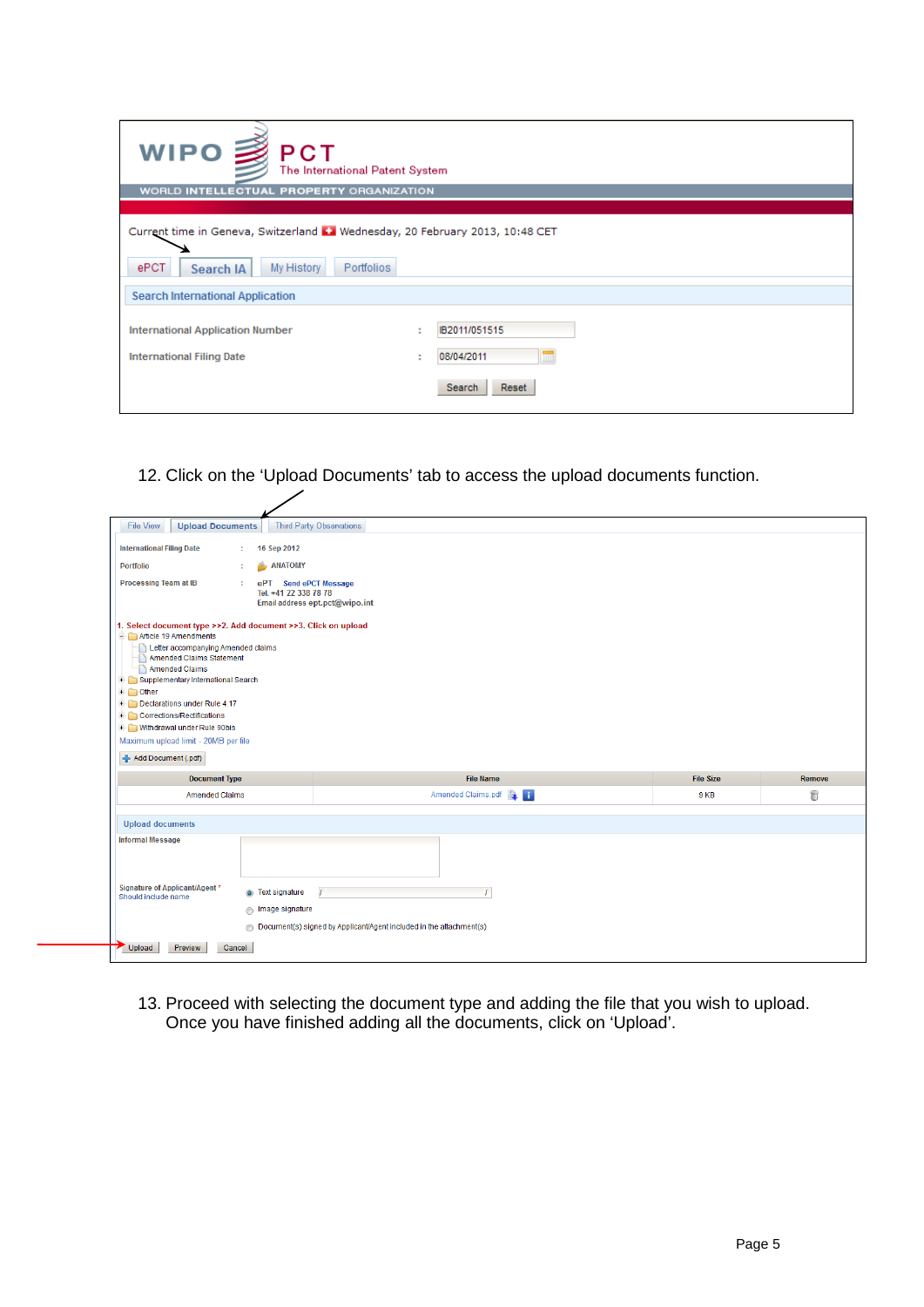| <b>WIPO ■ PCT</b><br>The International Patent System                                                                            |                                                                               |
|---------------------------------------------------------------------------------------------------------------------------------|-------------------------------------------------------------------------------|
| WORLD INTELLECTUAL PROPERTY ORGANIZATION                                                                                        |                                                                               |
|                                                                                                                                 |                                                                               |
| Current time in Geneva, Switzerland [1] Wednesday, 20 February 2013, 10:48 CET<br>ePCT<br>My History<br>Portfolios<br>Search IA |                                                                               |
|                                                                                                                                 |                                                                               |
| <b>Search International Application</b>                                                                                         |                                                                               |
| <b>International Application Number</b><br><b>International Filing Date</b>                                                     | IB2011/051515<br>$\bullet$<br>08/04/2011<br>$\blacksquare$<br>Search<br>Reset |

12. Click on the 'Upload Documents' tab to access the upload documents function.

| <b>File View</b><br><b>Upload Documents</b>                                                                                                                                                                                                                           |                                                     | <b>Third Party Observations</b>                                            |                  |               |
|-----------------------------------------------------------------------------------------------------------------------------------------------------------------------------------------------------------------------------------------------------------------------|-----------------------------------------------------|----------------------------------------------------------------------------|------------------|---------------|
| <b>International Filing Date</b>                                                                                                                                                                                                                                      | 16 Sep 2012<br>÷                                    |                                                                            |                  |               |
| <b>Portfolio</b>                                                                                                                                                                                                                                                      | <b>ANATOMY</b><br>÷                                 |                                                                            |                  |               |
| <b>Processing Team at IB</b>                                                                                                                                                                                                                                          | ÷<br>ePT Send ePCT Message<br>Tel. +41 22 338 78 78 | Email address ept.pct@wipo.int                                             |                  |               |
| 1. Select document type >>2. Add document >>3. Click on upload<br>Article 19 Amendments<br>Letter accompanying Amended claims<br>Amended Claims Statement<br>Amended Claims<br>Supplementary International Search<br>$+$<br>$+$ Other<br>Declarations under Rule 4.17 |                                                     |                                                                            |                  |               |
| + Corrections/Rectifications<br>+ Mithdrawal under Rule 90bis<br>Maximum upload limit - 20MB per file<br>Add Document (.pdf)                                                                                                                                          |                                                     |                                                                            |                  |               |
| <b>Document Type</b>                                                                                                                                                                                                                                                  |                                                     | <b>File Name</b>                                                           | <b>File Size</b> | <b>Remove</b> |
| <b>Amended Claims</b>                                                                                                                                                                                                                                                 |                                                     | Amended Claims.pdf                                                         | 9 KB             | 6             |
| <b>Upload documents</b>                                                                                                                                                                                                                                               |                                                     |                                                                            |                  |               |
| <b>Informal Message</b><br>Signature of Applicant/Agent*<br>Should include name                                                                                                                                                                                       | Text signature<br>Image signature                   | T<br>O Document(s) signed by Applicant/Agent included in the attachment(s) |                  |               |

13. Proceed with selecting the document type and adding the file that you wish to upload. Once you have finished adding all the documents, click on 'Upload'.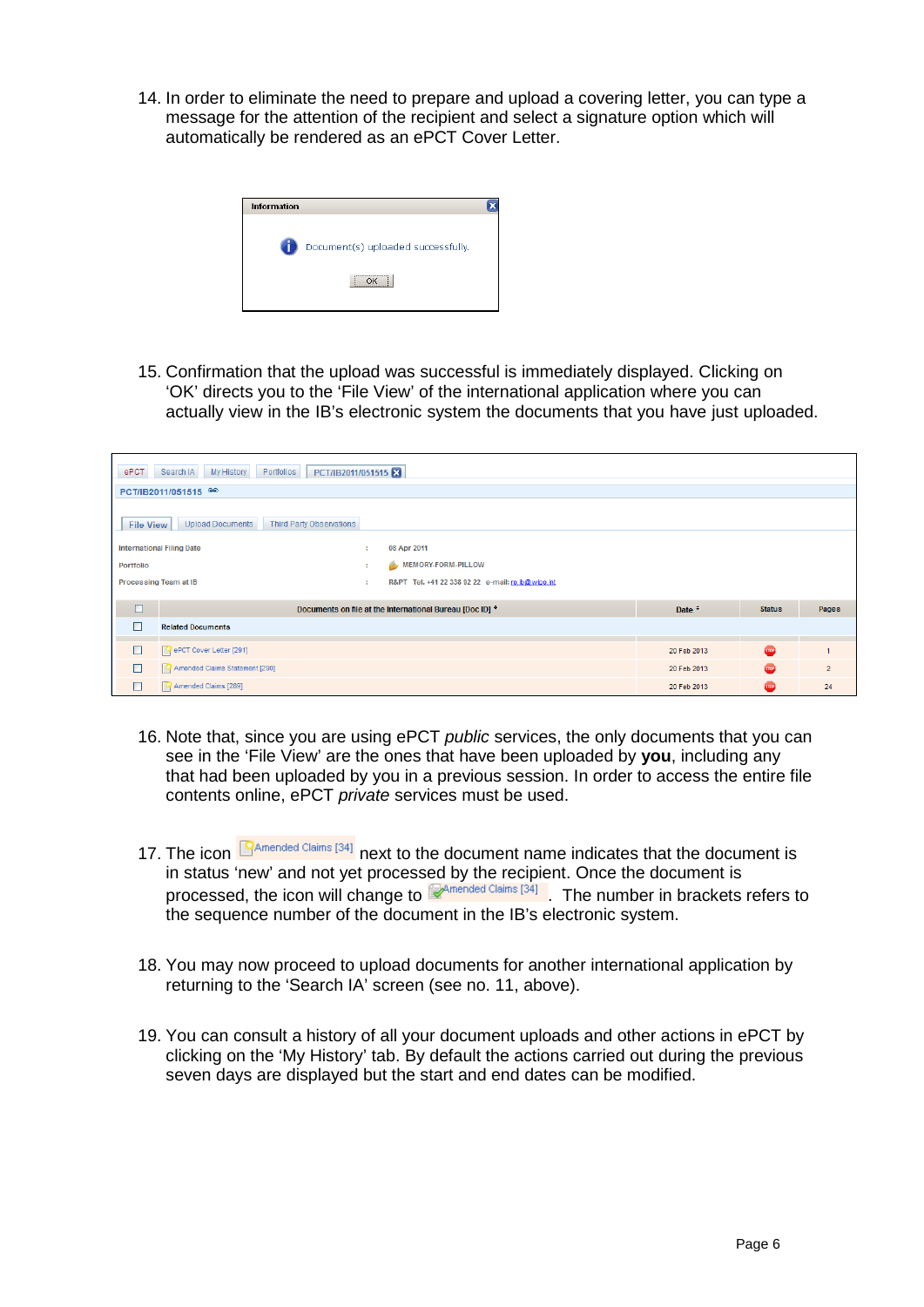14. In order to eliminate the need to prepare and upload a covering letter, you can type a message for the attention of the recipient and select a signature option which will automatically be rendered as an ePCT Cover Letter.



15. Confirmation that the upload was successful is immediately displayed. Clicking on 'OK' directs you to the 'File View' of the international application where you can actually view in the IB's electronic system the documents that you have just uploaded.

| ePCT<br>PCT/IB2011/051515<br>Search IA<br>My History<br>Portfolios             |                                                               |             |               |                |
|--------------------------------------------------------------------------------|---------------------------------------------------------------|-------------|---------------|----------------|
| PCT/IB2011/051515                                                              |                                                               |             |               |                |
| <b>Third Party Observations</b><br><b>Upload Documents</b><br><b>File View</b> |                                                               |             |               |                |
| <b>International Filing Date</b>                                               | 08 Apr 2011<br>÷                                              |             |               |                |
| Portfolio                                                                      | MEMORY-FORM-PILLOW<br>٠                                       |             |               |                |
| Processing Team at IB                                                          | R&PT Tel. +41 22 338 92 22 e-mail: ro.ib@wipo.int<br>÷        |             |               |                |
| □                                                                              | Documents on file at the International Bureau [Doc ID] $\div$ | Date $\div$ | <b>Status</b> | Pages          |
| <b>Related Documents</b>                                                       |                                                               |             |               |                |
|                                                                                |                                                               |             |               |                |
| $\Box$<br><b>Q</b> ePCT Cover Letter [291]                                     |                                                               | 20 Feb 2013 | $60^\circ$    |                |
| $\Box$<br>Amended Claims Statement [290]                                       |                                                               |             | sie           | $\overline{2}$ |
| $\Box$<br>Amended Claims [289]                                                 |                                                               | 20 Feb 2013 | <b>STOP</b>   | 24             |

- 16. Note that, since you are using ePCT *public* services, the only documents that you can see in the 'File View' are the ones that have been uploaded by **you**, including any that had been uploaded by you in a previous session. In order to access the entire file contents online, ePCT *private* services must be used.
- 17. The icon  $\mathbb{S}^{A}$ <sup>mended Claims [34]</sup> next to the document name indicates that the document is in status 'new' and not yet processed by the recipient. Once the document is processed, the icon will change to  $\mathbb{R}^{A}$ **mended Claims [34]** The number in brackets refers to the sequence number of the document in the IB's electronic system.
- 18. You may now proceed to upload documents for another international application by returning to the 'Search IA' screen (see no. 11, above).
- 19. You can consult a history of all your document uploads and other actions in ePCT by clicking on the 'My History' tab. By default the actions carried out during the previous seven days are displayed but the start and end dates can be modified.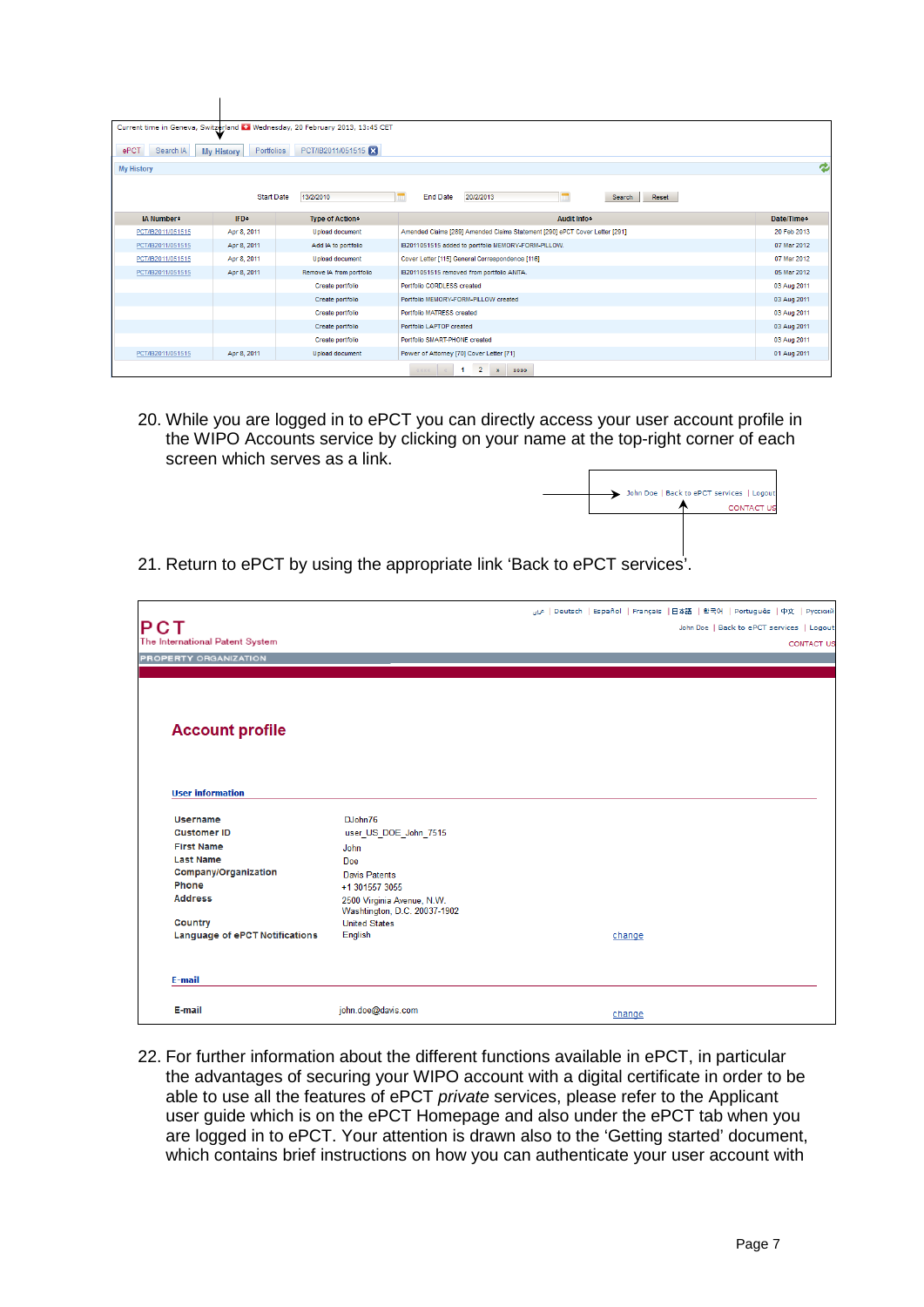|                   |                                 | Current time in Geneva, Switzerland 1: Wednesday, 20 February 2013, 13:45 CET |                                                                             |             |
|-------------------|---------------------------------|-------------------------------------------------------------------------------|-----------------------------------------------------------------------------|-------------|
| ePCT<br>Search IA | Portfolios<br><b>My History</b> | PCT/IB2011/051515                                                             |                                                                             |             |
| <b>My History</b> |                                 |                                                                               |                                                                             | e           |
|                   | <b>Start Date</b>               | 13/2/2010                                                                     | <b>End Date</b><br>20/2/2013<br>Reset<br>Search                             |             |
| IA Number:        | <b>IFD</b> <sup>+</sup>         | <b>Type of Action</b> ≑                                                       | Audit Info*                                                                 | Date/Time:  |
| PCT/IB2011/051515 | Apr 8, 2011                     | <b>Upload document</b>                                                        | Amended Claims [289] Amended Claims Statement [290] ePCT Cover Letter [291] | 20 Feb 2013 |
| PCT/IB2011/051515 | Apr 8, 2011                     | Add IA to portfolio                                                           | IB2011051515 added to portfolio MEMORY-FORM-PILLOW.                         | 07 Mar 2012 |
| PCT/IB2011/051515 | Apr 8, 2011                     | <b>Upload document</b>                                                        | Cover Letter [115] General Correspondence [116]                             | 07 Mar 2012 |
| PCT/IB2011/051515 | Apr 8, 2011                     | Remove IA from portfolio                                                      | IB2011051515 removed from portfolio ANITA.                                  | 05 Mar 2012 |
|                   |                                 | Create portfolio                                                              | Portfolio CORDLESS created                                                  | 03 Aug 2011 |
|                   |                                 | Create portfolio                                                              | Portfolio MEMORY-FORM-PILLOW created                                        | 03 Aug 2011 |
|                   |                                 | Create portfolio                                                              | Portfolio MATRESS created                                                   | 03 Aug 2011 |
|                   |                                 | Create portfolio                                                              | Portfolio LAPTOP created                                                    | 03 Aug 2011 |
|                   |                                 | Create portfolio                                                              | Portfolio SMART-PHONE created                                               | 03 Aug 2011 |
| PCT/IB2011/051515 | Apr 8, 2011                     | Upload document                                                               | Power of Attorney [70] Cover Letter [71]                                    | 01 Aug 2011 |
|                   |                                 |                                                                               | $\overline{2}$<br>22222<br>区区区区<br>$\mathbf{v}$                             |             |

 $\mathbf{I}$ 

20. While you are logged in to ePCT you can directly access your user account profile in the WIPO Accounts service by clicking on your name at the top-right corner of each screen which serves as a link.



21. Return to ePCT by using the appropriate link 'Back to ePCT services'.

|                                       |                              | اعلي   Deutsch   Español   Français   日本語   한국어   Português   中文   Русский |
|---------------------------------------|------------------------------|----------------------------------------------------------------------------|
| PCT                                   |                              | John Doe   Back to ePCT services   Logout                                  |
| The International Patent System       |                              | <b>CONTACT US</b>                                                          |
| PROPERTY ORGANIZATION                 |                              |                                                                            |
|                                       |                              |                                                                            |
|                                       |                              |                                                                            |
|                                       |                              |                                                                            |
|                                       |                              |                                                                            |
| <b>Account profile</b>                |                              |                                                                            |
|                                       |                              |                                                                            |
|                                       |                              |                                                                            |
|                                       |                              |                                                                            |
| <b>User information</b>               |                              |                                                                            |
|                                       |                              |                                                                            |
| <b>Username</b>                       | DJohn76                      |                                                                            |
| <b>Customer ID</b>                    | user_US_DOE_John_7515        |                                                                            |
| <b>First Name</b>                     | John                         |                                                                            |
| <b>Last Name</b>                      | Doe                          |                                                                            |
| Company/Organization                  | Davis Patents                |                                                                            |
| Phone                                 | +1 301557 3055               |                                                                            |
| <b>Address</b>                        | 2500 Virginia Avenue, N.W.   |                                                                            |
|                                       | Washtington, D.C. 20037-1902 |                                                                            |
| <b>Country</b>                        | <b>United States</b>         |                                                                            |
| <b>Language of ePCT Notifications</b> | English                      | change                                                                     |
|                                       |                              |                                                                            |
|                                       |                              |                                                                            |
| E-mail                                |                              |                                                                            |
|                                       |                              |                                                                            |
| E-mail                                | john.doe@davis.com           | change                                                                     |

22. For further information about the different functions available in ePCT, in particular the advantages of securing your WIPO account with a digital certificate in order to be able to use all the features of ePCT *private* services, please refer to the Applicant user guide which is on the ePCT Homepage and also under the ePCT tab when you are logged in to ePCT. Your attention is drawn also to the 'Getting started' document, which contains brief instructions on how you can authenticate your user account with